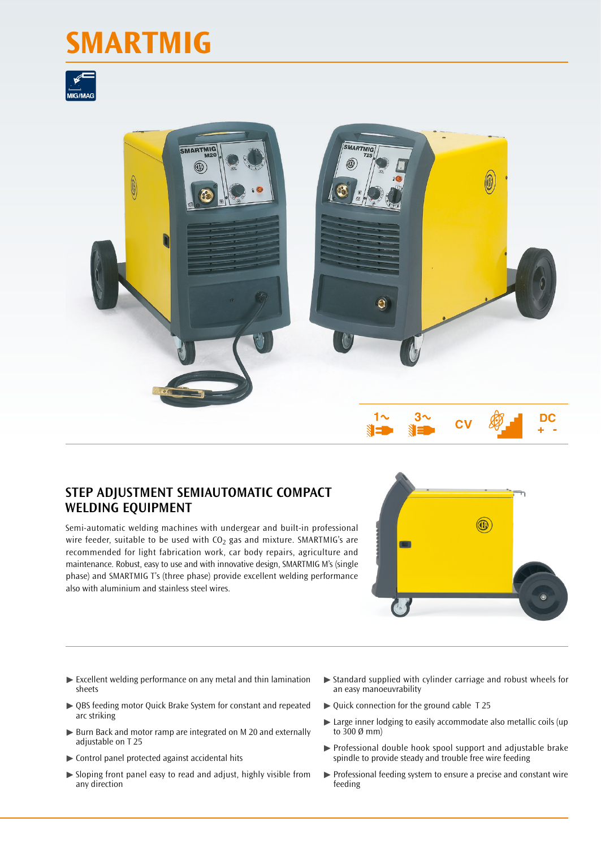## **SMARTMIG**





## **STEP ADJUSTMENT SEMIAUTOMATIC COMPACT WELDING EQUIPMENT**

Semi-automatic welding machines with undergear and built-in professional wire feeder, suitable to be used with  $CO<sub>2</sub>$  gas and mixture. SMARTMIG's are recommended for light fabrication work, car body repairs, agriculture and maintenance. Robust, easy to use and with innovative design, SMARTMIG M's (single phase) and SMARTMIG T's (three phase) provide excellent welding performance also with aluminium and stainless steel wires.



- $\blacktriangleright$  Excellent welding performance on any metal and thin lamination sheets
- ▶ QBS feeding motor Quick Brake System for constant and repeated arc striking
- ▶ Burn Back and motor ramp are integrated on M 20 and externally adjustable on T 25
- $\blacktriangleright$  Control panel protected against accidental hits
- ▶ Sloping front panel easy to read and adjust, highly visible from any direction
- $\triangleright$  Standard supplied with cylinder carriage and robust wheels for an easy manoeuvrability
- ▶ Quick connection for the ground cable T 25
- ▶ Large inner lodging to easily accommodate also metallic coils (up to 300 Ø mm)
- ▶ Professional double hook spool support and adjustable brake spindle to provide steady and trouble free wire feeding
- ▶ Professional feeding system to ensure a precise and constant wire feeding